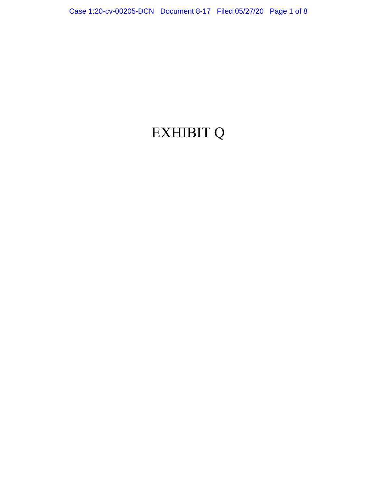## EXHIBIT Q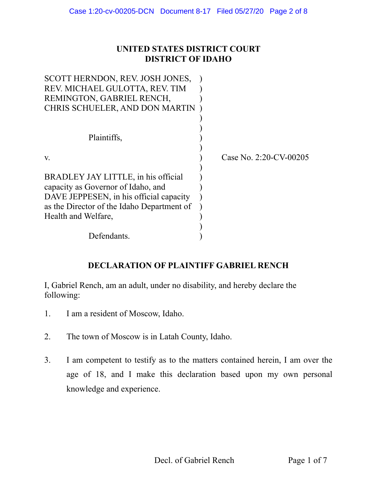## **UNITED STATES DISTRICT COURT DISTRICT OF IDAHO**

| SCOTT HERNDON, REV. JOSH JONES,            |                           |
|--------------------------------------------|---------------------------|
| REV. MICHAEL GULOTTA, REV. TIM             |                           |
| REMINGTON, GABRIEL RENCH,                  |                           |
| CHRIS SCHUELER, AND DON MARTIN             |                           |
|                                            |                           |
|                                            |                           |
| Plaintiffs,                                |                           |
|                                            |                           |
| V.                                         | Case No. $2:20$ -CV-00205 |
|                                            |                           |
| BRADLEY JAY LITTLE, in his official        |                           |
| capacity as Governor of Idaho, and         |                           |
| DAVE JEPPESEN, in his official capacity    |                           |
| as the Director of the Idaho Department of |                           |
| Health and Welfare,                        |                           |
|                                            |                           |
| Defendants.                                |                           |

## **DECLARATION OF PLAINTIFF GABRIEL RENCH**

I, Gabriel Rench, am an adult, under no disability, and hereby declare the following:

- 1. I am a resident of Moscow, Idaho.
- 2. The town of Moscow is in Latah County, Idaho.
- 3. I am competent to testify as to the matters contained herein, I am over the age of 18, and I make this declaration based upon my own personal knowledge and experience.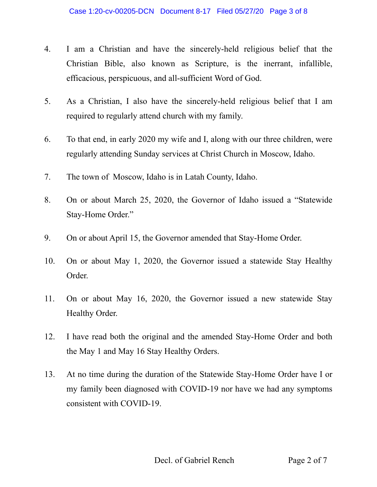- 4. I am a Christian and have the sincerely-held religious belief that the Christian Bible, also known as Scripture, is the inerrant, infallible, efficacious, perspicuous, and all-sufficient Word of God.
- 5. As a Christian, I also have the sincerely-held religious belief that I am required to regularly attend church with my family.
- 6. To that end, in early 2020 my wife and I, along with our three children, were regularly attending Sunday services at Christ Church in Moscow, Idaho.
- 7. The town of Moscow, Idaho is in Latah County, Idaho.
- 8. On or about March 25, 2020, the Governor of Idaho issued a "Statewide Stay-Home Order."
- 9. On or about April 15, the Governor amended that Stay-Home Order.
- 10. On or about May 1, 2020, the Governor issued a statewide Stay Healthy Order.
- 11. On or about May 16, 2020, the Governor issued a new statewide Stay Healthy Order.
- 12. I have read both the original and the amended Stay-Home Order and both the May 1 and May 16 Stay Healthy Orders.
- 13. At no time during the duration of the Statewide Stay-Home Order have I or my family been diagnosed with COVID-19 nor have we had any symptoms consistent with COVID-19.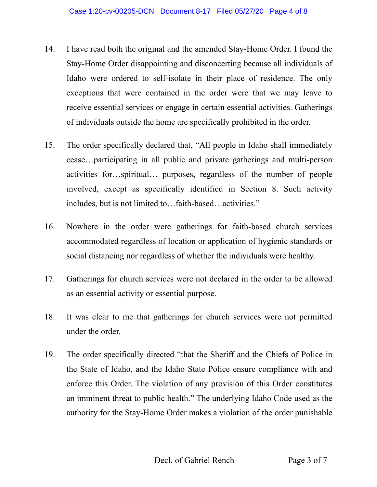- 14. I have read both the original and the amended Stay-Home Order. I found the Stay-Home Order disappointing and disconcerting because all individuals of Idaho were ordered to self-isolate in their place of residence. The only exceptions that were contained in the order were that we may leave to receive essential services or engage in certain essential activities. Gatherings of individuals outside the home are specifically prohibited in the order.
- 15. The order specifically declared that, "All people in Idaho shall immediately cease…participating in all public and private gatherings and multi-person activities for…spiritual… purposes, regardless of the number of people involved, except as specifically identified in Section 8. Such activity includes, but is not limited to…faith-based…activities."
- 16. Nowhere in the order were gatherings for faith-based church services accommodated regardless of location or application of hygienic standards or social distancing nor regardless of whether the individuals were healthy.
- 17. Gatherings for church services were not declared in the order to be allowed as an essential activity or essential purpose.
- 18. It was clear to me that gatherings for church services were not permitted under the order.
- 19. The order specifically directed "that the Sheriff and the Chiefs of Police in the State of Idaho, and the Idaho State Police ensure compliance with and enforce this Order. The violation of any provision of this Order constitutes an imminent threat to public health." The underlying Idaho Code used as the authority for the Stay-Home Order makes a violation of the order punishable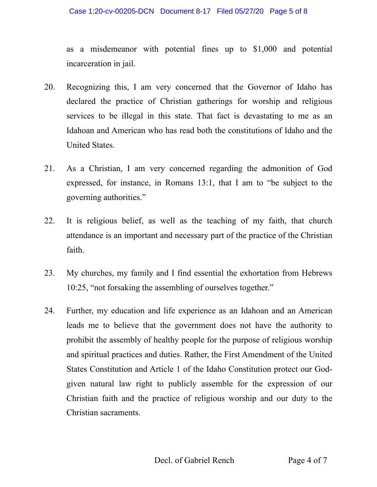as a misdemeanor with potential fines up to \$1,000 and potential incarceration in jail.

- 20. Recognizing this, I am very concerned that the Governor of Idaho has declared the practice of Christian gatherings for worship and religious services to be illegal in this state. That fact is devastating to me as an Idahoan and American who has read both the constitutions of Idaho and the United States.
- 21. As a Christian, I am very concerned regarding the admonition of God expressed, for instance, in Romans 13:1, that I am to "be subject to the governing authorities."
- 22. It is religious belief, as well as the teaching of my faith, that church attendance is an important and necessary part of the practice of the Christian faith.
- 23. My churches, my family and I find essential the exhortation from Hebrews 10:25, "not forsaking the assembling of ourselves together."
- 24. Further, my education and life experience as an Idahoan and an American leads me to believe that the government does not have the authority to prohibit the assembly of healthy people for the purpose of religious worship and spiritual practices and duties. Rather, the First Amendment of the United States Constitution and Article 1 of the Idaho Constitution protect our Godgiven natural law right to publicly assemble for the expression of our Christian faith and the practice of religious worship and our duty to the Christian sacraments.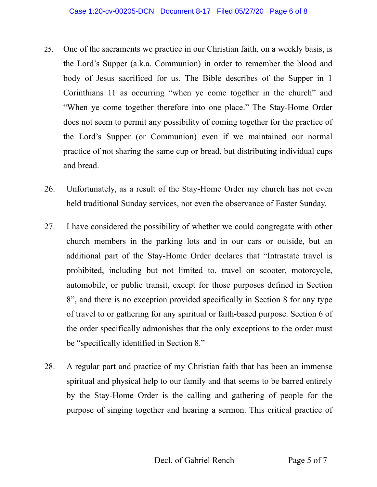- 25. One of the sacraments we practice in our Christian faith, on a weekly basis, is the Lord's Supper (a.k.a. Communion) in order to remember the blood and body of Jesus sacrificed for us. The Bible describes of the Supper in 1 Corinthians 11 as occurring "when ye come together in the church" and "When ye come together therefore into one place." The Stay-Home Order does not seem to permit any possibility of coming together for the practice of the Lord's Supper (or Communion) even if we maintained our normal practice of not sharing the same cup or bread, but distributing individual cups and bread.
- 26. Unfortunately, as a result of the Stay-Home Order my church has not even held traditional Sunday services, not even the observance of Easter Sunday.
- 27. I have considered the possibility of whether we could congregate with other church members in the parking lots and in our cars or outside, but an additional part of the Stay-Home Order declares that "Intrastate travel is prohibited, including but not limited to, travel on scooter, motorcycle, automobile, or public transit, except for those purposes defined in Section 8", and there is no exception provided specifically in Section 8 for any type of travel to or gathering for any spiritual or faith-based purpose. Section 6 of the order specifically admonishes that the only exceptions to the order must be "specifically identified in Section 8."
- 28. A regular part and practice of my Christian faith that has been an immense spiritual and physical help to our family and that seems to be barred entirely by the Stay-Home Order is the calling and gathering of people for the purpose of singing together and hearing a sermon. This critical practice of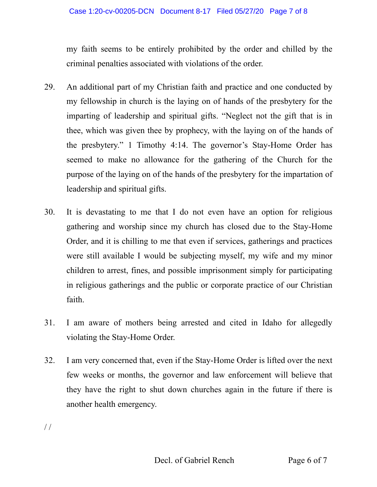my faith seems to be entirely prohibited by the order and chilled by the criminal penalties associated with violations of the order.

- 29. An additional part of my Christian faith and practice and one conducted by my fellowship in church is the laying on of hands of the presbytery for the imparting of leadership and spiritual gifts. "Neglect not the gift that is in thee, which was given thee by prophecy, with the laying on of the hands of the presbytery." 1 Timothy 4:14. The governor's Stay-Home Order has seemed to make no allowance for the gathering of the Church for the purpose of the laying on of the hands of the presbytery for the impartation of leadership and spiritual gifts.
- 30. It is devastating to me that I do not even have an option for religious gathering and worship since my church has closed due to the Stay-Home Order, and it is chilling to me that even if services, gatherings and practices were still available I would be subjecting myself, my wife and my minor children to arrest, fines, and possible imprisonment simply for participating in religious gatherings and the public or corporate practice of our Christian faith.
- 31. I am aware of mothers being arrested and cited in Idaho for allegedly violating the Stay-Home Order.
- 32. I am very concerned that, even if the Stay-Home Order is lifted over the next few weeks or months, the governor and law enforcement will believe that they have the right to shut down churches again in the future if there is another health emergency.